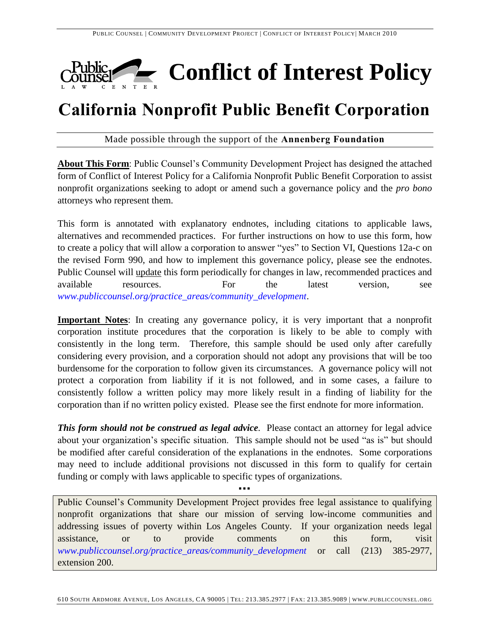

# **California Nonprofit Public Benefit Corporation**

Made possible through the support of the **Annenberg Foundation**

**About This Form**: Public Counsel's Community Development Project has designed the attached form of Conflict of Interest Policy for a California Nonprofit Public Benefit Corporation to assist nonprofit organizations seeking to adopt or amend such a governance policy and the *pro bono* attorneys who represent them.

This form is annotated with explanatory endnotes, including citations to applicable laws, alternatives and recommended practices. For further instructions on how to use this form, how to create a policy that will allow a corporation to answer "yes" to Section VI, Questions 12a-c on the revised Form 990, and how to implement this governance policy, please see the endnotes. Public Counsel will update this form periodically for changes in law, recommended practices and available resources. For the latest version, see *[www.publiccounsel.org/practice\\_areas/community\\_development](http://www.publiccounsel.org/practice_areas/community_development)*.

**Important Notes**: In creating any governance policy, it is very important that a nonprofit corporation institute procedures that the corporation is likely to be able to comply with consistently in the long term. Therefore, this sample should be used only after carefully considering every provision, and a corporation should not adopt any provisions that will be too burdensome for the corporation to follow given its circumstances. A governance policy will not protect a corporation from liability if it is not followed, and in some cases, a failure to consistently follow a written policy may more likely result in a finding of liability for the corporation than if no written policy existed. Please see the first endnote for more information.

*This form should not be construed as legal advice.* Please contact an attorney for legal advice about your organization's specific situation. This sample should not be used "as is" but should be modified after careful consideration of the explanations in the endnotes. Some corporations may need to include additional provisions not discussed in this form to qualify for certain funding or comply with laws applicable to specific types of organizations.

▪▪▪

Public Counsel's Community Development Project provides free legal assistance to qualifying nonprofit organizations that share our mission of serving low-income communities and addressing issues of poverty within Los Angeles County. If your organization needs legal assistance, or to provide comments on this form, visit *[www.publiccounsel.org/practice\\_areas/community\\_development](http://www.publiccounsel.org/practice_areas/community_development)* or call (213) 385-2977, extension 200.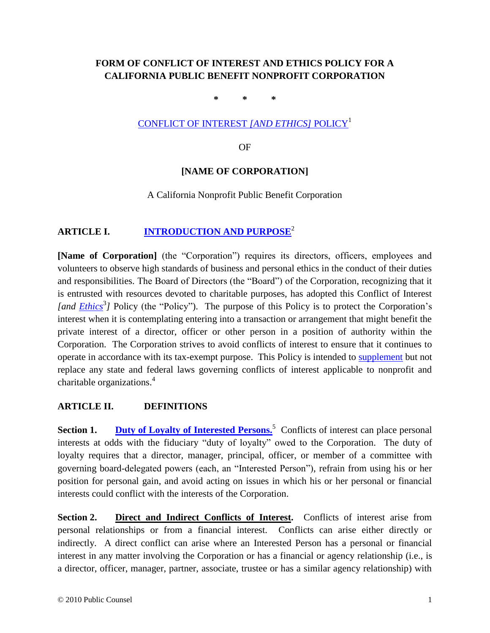# **FORM OF CONFLICT OF INTEREST AND ETHICS POLICY FOR A CALIFORNIA PUBLIC BENEFIT NONPROFIT CORPORATION**

<span id="page-1-0"></span>**\* \* \***

### [CONFLICT OF INTEREST](#page-11-0) *[AND ETHICS]* POLICY<sup>1</sup>

<span id="page-1-3"></span><span id="page-1-1"></span>OF

# **[NAME OF CORPORATION]**

### A California Nonprofit Public Benefit Corporation

# <span id="page-1-4"></span>**ARTICLE I. [INTRODUCTION AND PURPOSE](#page-11-1)**<sup>2</sup>

<span id="page-1-5"></span>**[Name of Corporation]** (the "Corporation") requires its directors, officers, employees and volunteers to observe high standards of business and personal ethics in the conduct of their duties and responsibilities. The Board of Directors (the "Board") of the Corporation, recognizing that it is entrusted with resources devoted to charitable purposes, has adopted this Conflict of Interest [and **Ethics**<sup>3</sup>] Policy (the "Policy"). The purpose of this Policy is to protect the Corporation's interest when it is contemplating entering into a transaction or arrangement that might benefit the private interest of a director, officer or other person in a position of authority within the Corporation. The Corporation strives to avoid conflicts of interest to ensure that it continues to operate in accordance with its tax-exempt purpose. This Policy is intended to [supplement](#page-13-0) but not replace any state and federal laws governing conflicts of interest applicable to nonprofit and charitable organizations. 4

### <span id="page-1-7"></span><span id="page-1-6"></span>**ARTICLE II. DEFINITIONS**

<span id="page-1-2"></span>**Section 1.** Duty of Loyalty [of Interested Persons.](#page-13-1)<sup>5</sup> Conflicts of interest can place personal interests at odds with the fiduciary "duty of loyalty" owed to the Corporation. The duty of loyalty requires that a director, manager, principal, officer, or member of a committee with governing board-delegated powers (each, an "Interested Person"), refrain from using his or her position for personal gain, and avoid acting on issues in which his or her personal or financial interests could conflict with the interests of the Corporation.

**Section 2. Direct and Indirect Conflicts of Interest.** Conflicts of interest arise from personal relationships or from a financial interest. Conflicts can arise either directly or indirectly. A direct conflict can arise where an Interested Person has a personal or financial interest in any matter involving the Corporation or has a financial or agency relationship (i.e., is a director, officer, manager, partner, associate, trustee or has a similar agency relationship) with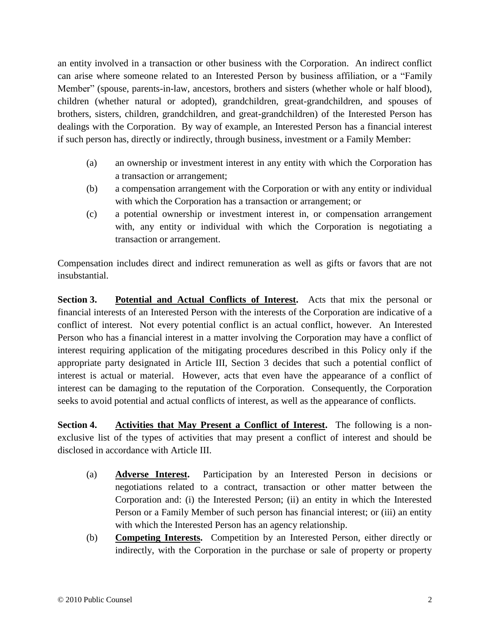an entity involved in a transaction or other business with the Corporation. An indirect conflict can arise where someone related to an Interested Person by business affiliation, or a "Family Member" (spouse, parents-in-law, ancestors, brothers and sisters (whether whole or half blood), children (whether natural or adopted), grandchildren, great-grandchildren, and spouses of brothers, sisters, children, grandchildren, and great-grandchildren) of the Interested Person has dealings with the Corporation. By way of example, an Interested Person has a financial interest if such person has, directly or indirectly, through business, investment or a Family Member:

- (a) an ownership or investment interest in any entity with which the Corporation has a transaction or arrangement;
- (b) a compensation arrangement with the Corporation or with any entity or individual with which the Corporation has a transaction or arrangement; or
- (c) a potential ownership or investment interest in, or compensation arrangement with, any entity or individual with which the Corporation is negotiating a transaction or arrangement.

Compensation includes direct and indirect remuneration as well as gifts or favors that are not insubstantial.

**Section 3. Potential and Actual Conflicts of Interest.** Acts that mix the personal or financial interests of an Interested Person with the interests of the Corporation are indicative of a conflict of interest. Not every potential conflict is an actual conflict, however. An Interested Person who has a financial interest in a matter involving the Corporation may have a conflict of interest requiring application of the mitigating procedures described in this Policy only if the appropriate party designated in Article III, Section 3 decides that such a potential conflict of interest is actual or material. However, acts that even have the appearance of a conflict of interest can be damaging to the reputation of the Corporation. Consequently, the Corporation seeks to avoid potential and actual conflicts of interest, as well as the appearance of conflicts.

**Section 4. Activities that May Present a Conflict of Interest.** The following is a nonexclusive list of the types of activities that may present a conflict of interest and should be disclosed in accordance with Article III.

- (a) **Adverse Interest.** Participation by an Interested Person in decisions or negotiations related to a contract, transaction or other matter between the Corporation and: (i) the Interested Person; (ii) an entity in which the Interested Person or a Family Member of such person has financial interest; or (iii) an entity with which the Interested Person has an agency relationship.
- (b) **Competing Interests.** Competition by an Interested Person, either directly or indirectly, with the Corporation in the purchase or sale of property or property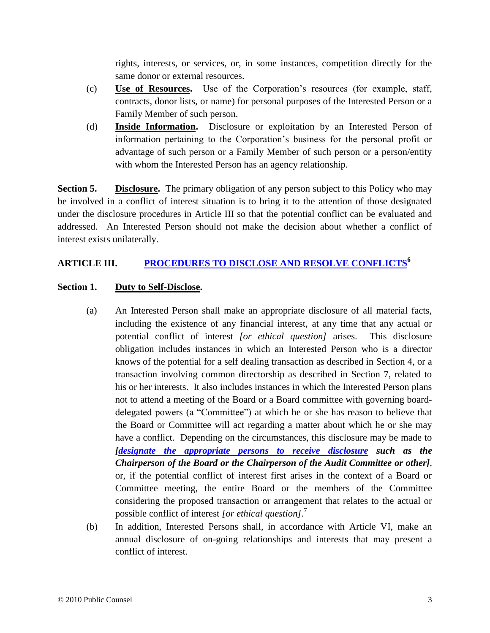rights, interests, or services, or, in some instances, competition directly for the same donor or external resources.

- (c) **Use of Resources.** Use of the Corporation's resources (for example, staff, contracts, donor lists, or name) for personal purposes of the Interested Person or a Family Member of such person.
- (d) **Inside Information.** Disclosure or exploitation by an Interested Person of information pertaining to the Corporation's business for the personal profit or advantage of such person or a Family Member of such person or a person/entity with whom the Interested Person has an agency relationship.

**Section 5. Disclosure.** The primary obligation of any person subject to this Policy who may be involved in a conflict of interest situation is to bring it to the attention of those designated under the disclosure procedures in Article III so that the potential conflict can be evaluated and addressed. An Interested Person should not make the decision about whether a conflict of interest exists unilaterally.

### **ARTICLE III. [PROCEDURES TO DISCLOSE AND RESOLVE CONFLICTS](#page-13-2)<sup>6</sup>**

### **Section 1. Duty to Self-Disclose.**

- <span id="page-3-0"></span>(a) An Interested Person shall make an appropriate disclosure of all material facts, including the existence of any financial interest, at any time that any actual or potential conflict of interest *[or ethical question]* arises. This disclosure obligation includes instances in which an Interested Person who is a director knows of the potential for a self dealing transaction as described in Section 4, or a transaction involving common directorship as described in Section 7, related to his or her interests. It also includes instances in which the Interested Person plans not to attend a meeting of the Board or a Board committee with governing boarddelegated powers (a "Committee") at which he or she has reason to believe that the Board or Committee will act regarding a matter about which he or she may have a conflict. Depending on the circumstances, this disclosure may be made to *[designate [the appropriate persons to receive disclosure](#page-13-3) such as the Chairperson of the Board or the Chairperson of the Audit Committee or other]*, or, if the potential conflict of interest first arises in the context of a Board or Committee meeting, the entire Board or the members of the Committee considering the proposed transaction or arrangement that relates to the actual or possible conflict of interest *[or ethical question]*. 7
- <span id="page-3-1"></span>(b) In addition, Interested Persons shall, in accordance with Article VI, make an annual disclosure of on-going relationships and interests that may present a conflict of interest.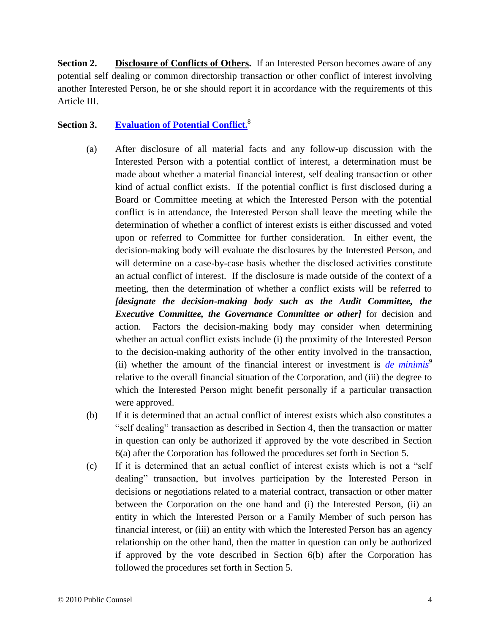**Section 2. Disclosure of Conflicts of Others.** If an Interested Person becomes aware of any potential self dealing or common directorship transaction or other conflict of interest involving another Interested Person, he or she should report it in accordance with the requirements of this Article III.

# <span id="page-4-0"></span>**Section 3. [Evaluation of Potential Conflict.](#page-14-0)** 8

- (a) After disclosure of all material facts and any follow-up discussion with the Interested Person with a potential conflict of interest, a determination must be made about whether a material financial interest, self dealing transaction or other kind of actual conflict exists. If the potential conflict is first disclosed during a Board or Committee meeting at which the Interested Person with the potential conflict is in attendance, the Interested Person shall leave the meeting while the determination of whether a conflict of interest exists is either discussed and voted upon or referred to Committee for further consideration. In either event, the decision-making body will evaluate the disclosures by the Interested Person, and will determine on a case-by-case basis whether the disclosed activities constitute an actual conflict of interest. If the disclosure is made outside of the context of a meeting, then the determination of whether a conflict exists will be referred to *[designate the decision-making body such as the Audit Committee, the Executive Committee, the Governance Committee or other]* for decision and action. Factors the decision-making body may consider when determining whether an actual conflict exists include (i) the proximity of the Interested Person to the decision-making authority of the other entity involved in the transaction, (ii) whether the amount of the financial interest or investment is *[de minimis](#page-14-1)<sup>9</sup>* relative to the overall financial situation of the Corporation, and (iii) the degree to which the Interested Person might benefit personally if a particular transaction were approved.
- <span id="page-4-1"></span>(b) If it is determined that an actual conflict of interest exists which also constitutes a "self dealing" transaction as described in Section 4, then the transaction or matter in question can only be authorized if approved by the vote described in Section 6(a) after the Corporation has followed the procedures set forth in Section 5.
- (c) If it is determined that an actual conflict of interest exists which is not a "self dealing" transaction, but involves participation by the Interested Person in decisions or negotiations related to a material contract, transaction or other matter between the Corporation on the one hand and (i) the Interested Person, (ii) an entity in which the Interested Person or a Family Member of such person has financial interest, or (iii) an entity with which the Interested Person has an agency relationship on the other hand, then the matter in question can only be authorized if approved by the vote described in Section 6(b) after the Corporation has followed the procedures set forth in Section 5.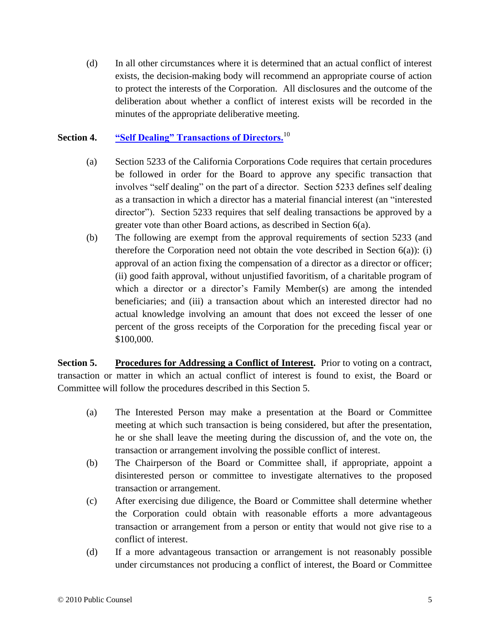(d) In all other circumstances where it is determined that an actual conflict of interest exists, the decision-making body will recommend an appropriate course of action to protect the interests of the Corporation. All disclosures and the outcome of the deliberation about whether a conflict of interest exists will be recorded in the minutes of the appropriate deliberative meeting.

### **Section 4. ["Self Dealing" Transactions of Directors.](#page-14-2)**<sup>10</sup>

- <span id="page-5-1"></span><span id="page-5-0"></span>(a) Section 5233 of the California Corporations Code requires that certain procedures be followed in order for the Board to approve any specific transaction that involves "self dealing" on the part of a director. Section 5233 defines self dealing as a transaction in which a director has a material financial interest (an "interested director"). Section 5233 requires that self dealing transactions be approved by a greater vote than other Board actions, as described in Section 6(a).
- (b) The following are exempt from the approval requirements of section 5233 (and therefore the Corporation need not obtain the vote described in Section 6(a)): (i) approval of an action fixing the compensation of a director as a director or officer; (ii) good faith approval, without unjustified favoritism, of a charitable program of which a director or a director's Family Member(s) are among the intended beneficiaries; and (iii) a transaction about which an interested director had no actual knowledge involving an amount that does not exceed the lesser of one percent of the gross receipts of the Corporation for the preceding fiscal year or \$100,000.

**Section 5. Procedures for Addressing a Conflict of Interest.** Prior to voting on a contract, transaction or matter in which an actual conflict of interest is found to exist, the Board or Committee will follow the procedures described in this Section 5.

- (a) The Interested Person may make a presentation at the Board or Committee meeting at which such transaction is being considered, but after the presentation, he or she shall leave the meeting during the discussion of, and the vote on, the transaction or arrangement involving the possible conflict of interest.
- (b) The Chairperson of the Board or Committee shall, if appropriate, appoint a disinterested person or committee to investigate alternatives to the proposed transaction or arrangement.
- (c) After exercising due diligence, the Board or Committee shall determine whether the Corporation could obtain with reasonable efforts a more advantageous transaction or arrangement from a person or entity that would not give rise to a conflict of interest.
- (d) If a more advantageous transaction or arrangement is not reasonably possible under circumstances not producing a conflict of interest, the Board or Committee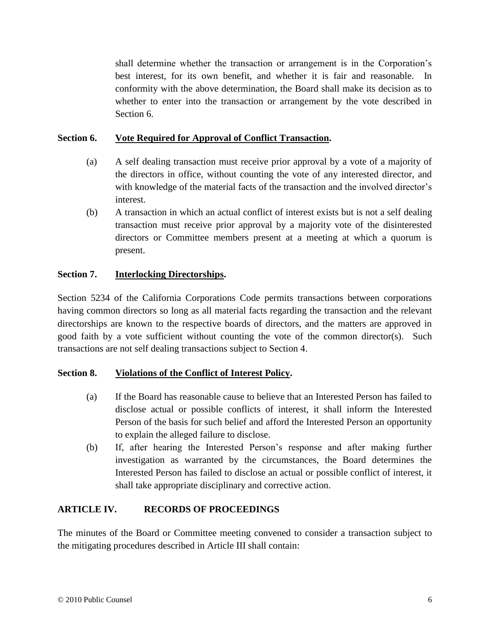shall determine whether the transaction or arrangement is in the Corporation's best interest, for its own benefit, and whether it is fair and reasonable. In conformity with the above determination, the Board shall make its decision as to whether to enter into the transaction or arrangement by the vote described in Section 6.

### **Section 6. Vote Required for Approval of Conflict Transaction.**

- (a) A self dealing transaction must receive prior approval by a vote of a majority of the directors in office, without counting the vote of any interested director, and with knowledge of the material facts of the transaction and the involved director's interest.
- (b) A transaction in which an actual conflict of interest exists but is not a self dealing transaction must receive prior approval by a majority vote of the disinterested directors or Committee members present at a meeting at which a quorum is present.

### **Section 7. Interlocking Directorships.**

Section 5234 of the California Corporations Code permits transactions between corporations having common directors so long as all material facts regarding the transaction and the relevant directorships are known to the respective boards of directors, and the matters are approved in good faith by a vote sufficient without counting the vote of the common director(s). Such transactions are not self dealing transactions subject to Section 4.

### **Section 8. Violations of the Conflict of Interest Policy.**

- (a) If the Board has reasonable cause to believe that an Interested Person has failed to disclose actual or possible conflicts of interest, it shall inform the Interested Person of the basis for such belief and afford the Interested Person an opportunity to explain the alleged failure to disclose.
- (b) If, after hearing the Interested Person's response and after making further investigation as warranted by the circumstances, the Board determines the Interested Person has failed to disclose an actual or possible conflict of interest, it shall take appropriate disciplinary and corrective action.

### **ARTICLE IV. RECORDS OF PROCEEDINGS**

The minutes of the Board or Committee meeting convened to consider a transaction subject to the mitigating procedures described in Article III shall contain: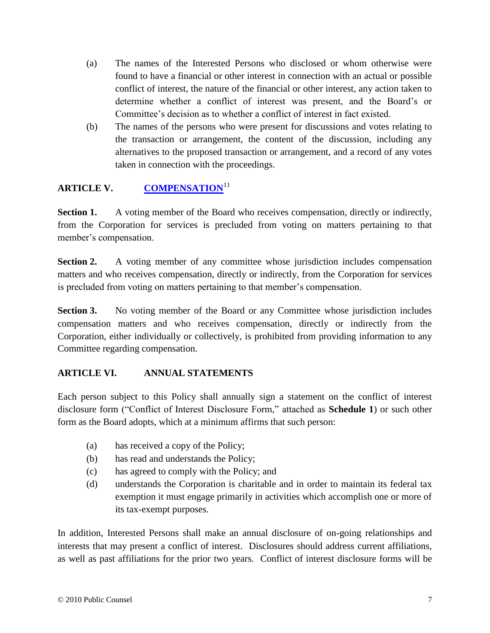- (a) The names of the Interested Persons who disclosed or whom otherwise were found to have a financial or other interest in connection with an actual or possible conflict of interest, the nature of the financial or other interest, any action taken to determine whether a conflict of interest was present, and the Board's or Committee's decision as to whether a conflict of interest in fact existed.
- <span id="page-7-0"></span>(b) The names of the persons who were present for discussions and votes relating to the transaction or arrangement, the content of the discussion, including any alternatives to the proposed transaction or arrangement, and a record of any votes taken in connection with the proceedings.

# **ARTICLE V. [COMPENSATION](#page-14-3)**<sup>11</sup>

**Section 1.** A voting member of the Board who receives compensation, directly or indirectly, from the Corporation for services is precluded from voting on matters pertaining to that member's compensation.

**Section 2.** A voting member of any committee whose jurisdiction includes compensation matters and who receives compensation, directly or indirectly, from the Corporation for services is precluded from voting on matters pertaining to that member's compensation.

**Section 3.** No voting member of the Board or any Committee whose jurisdiction includes compensation matters and who receives compensation, directly or indirectly from the Corporation, either individually or collectively, is prohibited from providing information to any Committee regarding compensation.

# **ARTICLE VI. ANNUAL STATEMENTS**

Each person subject to this Policy shall annually sign a statement on the conflict of interest disclosure form ("Conflict of Interest Disclosure Form," attached as **Schedule 1**) or such other form as the Board adopts, which at a minimum affirms that such person:

- (a) has received a copy of the Policy;
- (b) has read and understands the Policy;
- (c) has agreed to comply with the Policy; and
- (d) understands the Corporation is charitable and in order to maintain its federal tax exemption it must engage primarily in activities which accomplish one or more of its tax-exempt purposes.

In addition, Interested Persons shall make an annual disclosure of on-going relationships and interests that may present a conflict of interest. Disclosures should address current affiliations, as well as past affiliations for the prior two years. Conflict of interest disclosure forms will be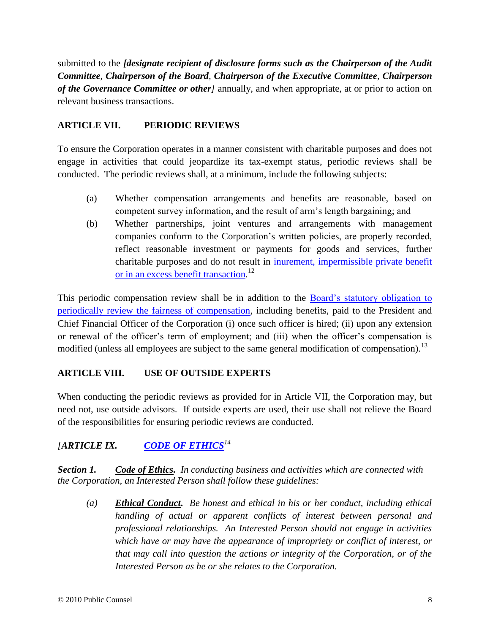submitted to the *[designate recipient of disclosure forms such as the Chairperson of the Audit Committee, Chairperson of the Board, Chairperson of the Executive Committee, Chairperson of the Governance Committee or other]* annually, and when appropriate, at or prior to action on relevant business transactions.

### **ARTICLE VII. PERIODIC REVIEWS**

To ensure the Corporation operates in a manner consistent with charitable purposes and does not engage in activities that could jeopardize its tax-exempt status, periodic reviews shall be conducted. The periodic reviews shall, at a minimum, include the following subjects:

- (a) Whether compensation arrangements and benefits are reasonable, based on competent survey information, and the result of arm's length bargaining; and
- <span id="page-8-1"></span><span id="page-8-0"></span>(b) Whether partnerships, joint ventures and arrangements with management companies conform to the Corporation's written policies, are properly recorded, reflect reasonable investment or payments for goods and services, further charitable purposes and do not result in [inurement, impermissible private benefit](#page-14-4)  [or in an excess benefit transaction.](#page-14-4)<sup>12</sup>

This periodic compensation review shall be in addition to the **Board's statutory obligation to** [periodically review the fairness of compensation,](#page-15-0) including benefits, paid to the President and Chief Financial Officer of the Corporation (i) once such officer is hired; (ii) upon any extension or renewal of the officer's term of employment; and (iii) when the officer's compensation is modified (unless all employees are subject to the same general modification of compensation).<sup>13</sup>

### **ARTICLE VIII. USE OF OUTSIDE EXPERTS**

When conducting the periodic reviews as provided for in Article VII, the Corporation may, but need not, use outside advisors. If outside experts are used, their use shall not relieve the Board of the responsibilities for ensuring periodic reviews are conducted.

# *[ARTICLE IX. [CODE OF ETHICS](#page-15-1)<sup>14</sup>*

*Section 1. Code of Ethics. In conducting business and activities which are connected with the Corporation, an Interested Person shall follow these guidelines:*

<span id="page-8-2"></span>*(a) Ethical Conduct. Be honest and ethical in his or her conduct, including ethical handling of actual or apparent conflicts of interest between personal and professional relationships. An Interested Person should not engage in activities which have or may have the appearance of impropriety or conflict of interest, or that may call into question the actions or integrity of the Corporation, or of the Interested Person as he or she relates to the Corporation.*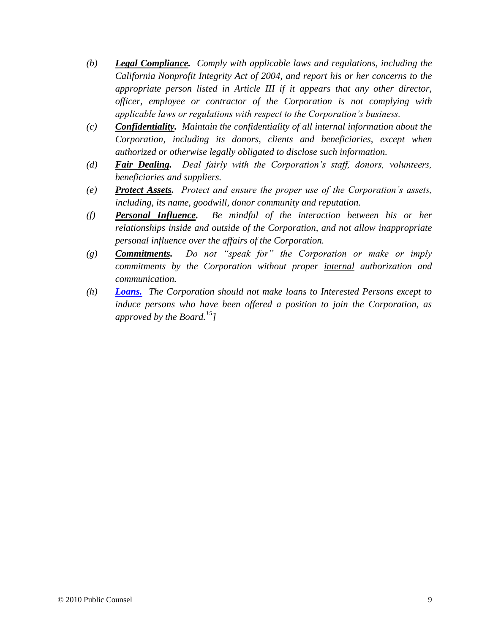- *(b) Legal Compliance. Comply with applicable laws and regulations, including the California Nonprofit Integrity Act of 2004, and report his or her concerns to the appropriate person listed in Article III if it appears that any other director, officer, employee or contractor of the Corporation is not complying with applicable laws or regulations with respect to the Corporation's business.*
- *(c) Confidentiality. Maintain the confidentiality of all internal information about the Corporation, including its donors, clients and beneficiaries, except when authorized or otherwise legally obligated to disclose such information.*
- *(d) Fair Dealing. Deal fairly with the Corporation's staff, donors, volunteers, beneficiaries and suppliers.*
- *(e) Protect Assets. Protect and ensure the proper use of the Corporation's assets, including, its name, goodwill, donor community and reputation.*
- *(f) Personal Influence. Be mindful of the interaction between his or her relationships inside and outside of the Corporation, and not allow inappropriate personal influence over the affairs of the Corporation.*
- *(g) Commitments. Do not "speak for" the Corporation or make or imply commitments by the Corporation without proper internal authorization and communication.*
- <span id="page-9-0"></span>*(h) [Loans.](#page-15-2) The Corporation should not make loans to Interested Persons except to induce persons who have been offered a position to join the Corporation, as approved by the Board.<sup>15</sup>]*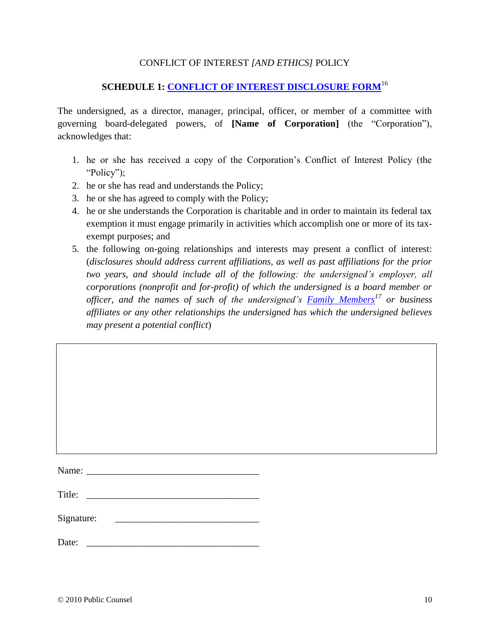### <span id="page-10-0"></span>CONFLICT OF INTEREST *[AND ETHICS]* POLICY

# **SCHEDULE 1: [CONFLICT OF INTEREST DISCLOSURE FORM](#page-15-3)**<sup>16</sup>

The undersigned, as a director, manager, principal, officer, or member of a committee with governing board-delegated powers, of **[Name of Corporation]** (the "Corporation"), acknowledges that:

- 1. he or she has received a copy of the Corporation's Conflict of Interest Policy (the "Policy");
- 2. he or she has read and understands the Policy;
- 3. he or she has agreed to comply with the Policy;
- 4. he or she understands the Corporation is charitable and in order to maintain its federal tax exemption it must engage primarily in activities which accomplish one or more of its taxexempt purposes; and
- <span id="page-10-1"></span>5. the following on-going relationships and interests may present a conflict of interest: (*disclosures should address current affiliations, as well as past affiliations for the prior two years, and should include all of the following: the undersigned's employer, all corporations (nonprofit and for-profit) of which the undersigned is a board member or officer, and the names of such of the undersigned's [Family Members](#page-15-4)<sup>17</sup> or business affiliates or any other relationships the undersigned has which the undersigned believes may present a potential conflict*)

| Name: $\frac{1}{\sqrt{1-\frac{1}{2}} \cdot \frac{1}{2}}$ |                                                                                                                         |  |
|----------------------------------------------------------|-------------------------------------------------------------------------------------------------------------------------|--|
| Title:                                                   | <u> 1980 - Andrea Albert III, politik a postal de la provincia de la provincia de la provincia de la provincia de l</u> |  |
| Signature:                                               |                                                                                                                         |  |
| Date:                                                    |                                                                                                                         |  |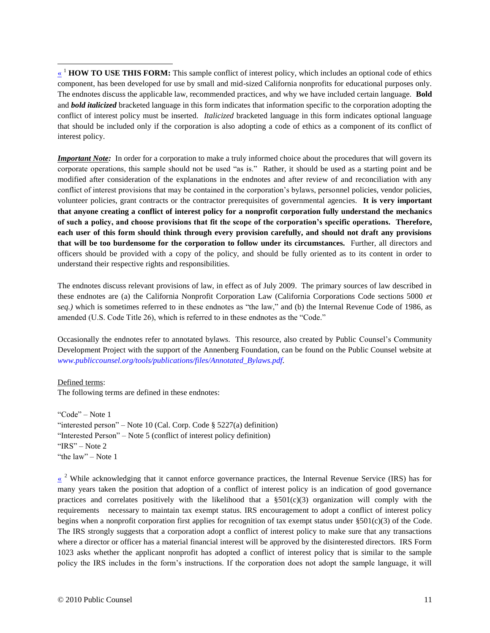<span id="page-11-0"></span><sup>1</sup> **HOW TO USE THIS FORM:** This sample conflict of interest policy, which includes an optional code of ethics component, has been developed for use by small and mid-sized California nonprofits for educational purposes only. The endnotes discuss the applicable law, recommended practices, and why we have included certain language. **Bold**  and *bold italicized* bracketed language in this form indicates that information specific to the corporation adopting the conflict of interest policy must be inserted. *Italicized* bracketed language in this form indicates optional language that should be included only if the corporation is also adopting a code of ethics as a component of its conflict of interest policy.

*Important Note:*In order for a corporation to make a truly informed choice about the procedures that will govern its corporate operations, this sample should not be used "as is." Rather, it should be used as a starting point and be modified after consideration of the explanations in the endnotes and after review of and reconciliation with any conflict of interest provisions that may be contained in the corporation's bylaws, personnel policies, vendor policies, volunteer policies, grant contracts or the contractor prerequisites of governmental agencies. **It is very important that anyone creating a conflict of interest policy for a nonprofit corporation fully understand the mechanics of such a policy, and choose provisions that fit the scope of the corporation's specific operations. Therefore, each user of this form should think through every provision carefully, and should not draft any provisions that will be too burdensome for the corporation to follow under its circumstances.** Further, all directors and officers should be provided with a copy of the policy, and should be fully oriented as to its content in order to understand their respective rights and responsibilities.

The endnotes discuss relevant provisions of law, in effect as of July 2009. The primary sources of law described in these endnotes are (a) the California Nonprofit Corporation Law (California Corporations Code sections 5000 *et seq.)* which is sometimes referred to in these endnotes as "the law," and (b) the Internal Revenue Code of 1986, as amended (U.S. Code Title 26), which is referred to in these endnotes as the "Code."

Occasionally the endnotes refer to annotated bylaws. This resource, also created by Public Counsel's Community Development Project with the support of the Annenberg Foundation, can be found on the Public Counsel website at *[www.publiccounsel.org/tools/publications/files/Annotated\\_Bylaws.pdf.](http://www.publiccounsel.org/tools/publications/files/Annotated_Bylaws.pdf)*

#### Defined terms:

 $\overline{a}$ 

The following terms are defined in these endnotes:

"Code" – Note [1](#page-1-1) "interested person" – Note [10](#page-5-0) (Cal. Corp. Code  $\S$  5227(a) definition) "Interested Person" – Note [5](#page-1-2) (conflict of interest policy definition) "IRS" – Note [2](#page-1-3) "the law" – Note [1](#page-1-1)

<span id="page-11-1"></span> $\frac{\alpha}{\alpha}$ <sup>2</sup> While acknowledging that it cannot enforce governance practices, the Internal Revenue Service (IRS) has for many years taken the position that adoption of a conflict of interest policy is an indication of good governance practices and correlates positively with the likelihood that a  $\S501(c)(3)$  organization will comply with the requirements necessary to maintain tax exempt status. IRS encouragement to adopt a conflict of interest policy begins when a nonprofit corporation first applies for recognition of tax exempt status under  $\S501(c)(3)$  of the Code. The IRS strongly suggests that a corporation adopt a conflict of interest policy to make sure that any transactions where a director or officer has a material financial interest will be approved by the disinterested directors. IRS Form 1023 asks whether the applicant nonprofit has adopted a conflict of interest policy that is similar to the sample policy the IRS includes in the form's instructions. If the corporation does not adopt the sample language, it will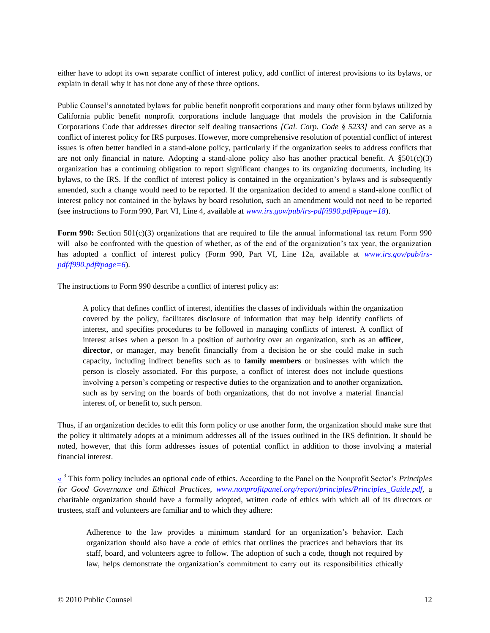either have to adopt its own separate conflict of interest policy, add conflict of interest provisions to its bylaws, or explain in detail why it has not done any of these three options.

Public Counsel's annotated bylaws for public benefit nonprofit corporations and many other form bylaws utilized by California public benefit nonprofit corporations include language that models the provision in the California Corporations Code that addresses director self dealing transactions *[Cal. Corp. Code § 5233]* and can serve as a conflict of interest policy for IRS purposes. However, more comprehensive resolution of potential conflict of interest issues is often better handled in a stand-alone policy, particularly if the organization seeks to address conflicts that are not only financial in nature. Adopting a stand-alone policy also has another practical benefit. A  $\S501(c)(3)$ organization has a continuing obligation to report significant changes to its organizing documents, including its bylaws, to the IRS. If the conflict of interest policy is contained in the organization's bylaws and is subsequently amended, such a change would need to be reported. If the organization decided to amend a stand-alone conflict of interest policy not contained in the bylaws by board resolution, such an amendment would not need to be reported (see instructions to Form 990, Part VI, Line 4, available at *[www.irs.gov/pub/irs-pdf/i990.pdf#page=18](http://www.irs.gov/pub/irs-pdf/i990.pdf#page=18)*).

**Form 990:** Section 501(c)(3) organizations that are required to file the annual informational tax return Form 990 will also be confronted with the question of whether, as of the end of the organization's tax year, the organization has adopted a conflict of interest policy (Form 990, Part VI, Line 12a, available at *[www.irs.gov/pub/irs](http://www.irs.gov/pub/irs-pdf/f990.pdf#page=6)[pdf/f990.pdf#page=6](http://www.irs.gov/pub/irs-pdf/f990.pdf#page=6)*).

The instructions to Form 990 describe a conflict of interest policy as:

A policy that defines conflict of interest, identifies the classes of individuals within the organization covered by the policy, facilitates disclosure of information that may help identify conflicts of interest, and specifies procedures to be followed in managing conflicts of interest. A conflict of interest arises when a person in a position of authority over an organization, such as an **officer**, director, or manager, may benefit financially from a decision he or she could make in such capacity, including indirect benefits such as to **family members** or businesses with which the person is closely associated. For this purpose, a conflict of interest does not include questions involving a person's competing or respective duties to the organization and to another organization, such as by serving on the boards of both organizations, that do not involve a material financial interest of, or benefit to, such person.

Thus, if an organization decides to edit this form policy or use another form, the organization should make sure that the policy it ultimately adopts at a minimum addresses all of the issues outlined in the IRS definition. It should be noted, however, that this form addresses issues of potential conflict in addition to those involving a material financial interest.

<span id="page-12-0"></span>[«](#page-1-5) <sup>3</sup> This form policy includes an optional code of ethics. According to the Panel on the Nonprofit Sector's *Principles for Good Governance and Ethical Practices, [www.nonprofitpanel.org/report/principles/Principles\\_Guide.pdf](http://www.nonprofitpanel.org/report/principles/Principles_Guide.pdf)*, a charitable organization should have a formally adopted, written code of ethics with which all of its directors or trustees, staff and volunteers are familiar and to which they adhere:

Adherence to the law provides a minimum standard for an organization's behavior. Each organization should also have a code of ethics that outlines the practices and behaviors that its staff, board, and volunteers agree to follow. The adoption of such a code, though not required by law, helps demonstrate the organization's commitment to carry out its responsibilities ethically

 $\overline{a}$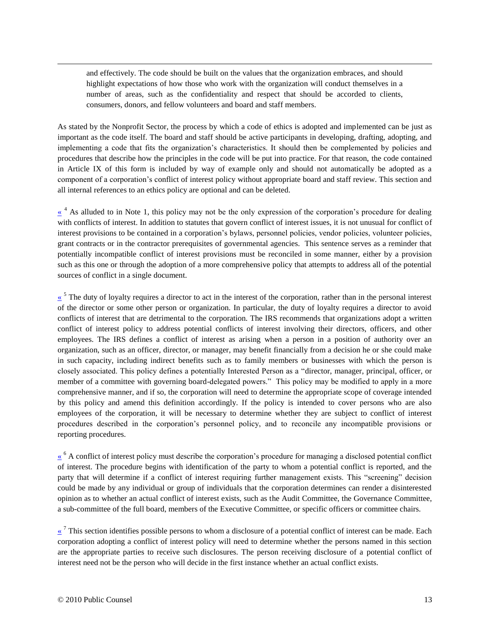and effectively. The code should be built on the values that the organization embraces, and should highlight expectations of how those who work with the organization will conduct themselves in a number of areas, such as the confidentiality and respect that should be accorded to clients, consumers, donors, and fellow volunteers and board and staff members.

As stated by the Nonprofit Sector, the process by which a code of ethics is adopted and implemented can be just as important as the code itself. The board and staff should be active participants in developing, drafting, adopting, and implementing a code that fits the organization's characteristics. It should then be complemented by policies and procedures that describe how the principles in the code will be put into practice. For that reason, the code contained in Article IX of this form is included by way of example only and should not automatically be adopted as a component of a corporation's conflict of interest policy without appropriate board and staff review. This section and all internal references to an ethics policy are optional and can be deleted.

<span id="page-13-0"></span> $\frac{\alpha}{\alpha}$ <sup>4</sup> As alluded to in Note [1,](#page-1-1) this policy may not be the only expression of the corporation's procedure for dealing with conflicts of interest. In addition to statutes that govern conflict of interest issues, it is not unusual for conflict of interest provisions to be contained in a corporation's bylaws, personnel policies, vendor policies, volunteer policies, grant contracts or in the contractor prerequisites of governmental agencies. This sentence serves as a reminder that potentially incompatible conflict of interest provisions must be reconciled in some manner, either by a provision such as this one or through the adoption of a more comprehensive policy that attempts to address all of the potential sources of conflict in a single document.

<span id="page-13-1"></span> $\frac{\kappa}{\sigma}$ <sup>5</sup> The duty of loyalty requires a director to act in the interest of the corporation, rather than in the personal interest of the director or some other person or organization. In particular, the duty of loyalty requires a director to avoid conflicts of interest that are detrimental to the corporation. The IRS recommends that organizations adopt a written conflict of interest policy to address potential conflicts of interest involving their directors, officers, and other employees. The IRS defines a conflict of interest as arising when a person in a position of authority over an organization, such as an officer, director, or manager, may benefit financially from a decision he or she could make in such capacity, including indirect benefits such as to family members or businesses with which the person is closely associated. This policy defines a potentially Interested Person as a "director, manager, principal, officer, or member of a committee with governing board-delegated powers." This policy may be modified to apply in a more comprehensive manner, and if so, the corporation will need to determine the appropriate scope of coverage intended by this policy and amend this definition accordingly. If the policy is intended to cover persons who are also employees of the corporation, it will be necessary to determine whether they are subject to conflict of interest procedures described in the corporation's personnel policy, and to reconcile any incompatible provisions or reporting procedures.

<span id="page-13-2"></span>[«](#page-3-0) <sup>6</sup> A conflict of interest policy must describe the corporation's procedure for managing a disclosed potential conflict of interest. The procedure begins with identification of the party to whom a potential conflict is reported, and the party that will determine if a conflict of interest requiring further management exists. This "screening" decision could be made by any individual or group of individuals that the corporation determines can render a disinterested opinion as to whether an actual conflict of interest exists, such as the Audit Committee, the Governance Committee, a sub-committee of the full board, members of the Executive Committee, or specific officers or committee chairs.

<span id="page-13-3"></span> $\frac{\alpha}{\alpha}$ <sup>7</sup> This section identifies possible persons to whom a disclosure of a potential conflict of interest can be made. Each corporation adopting a conflict of interest policy will need to determine whether the persons named in this section are the appropriate parties to receive such disclosures. The person receiving disclosure of a potential conflict of interest need not be the person who will decide in the first instance whether an actual conflict exists.

 $\overline{a}$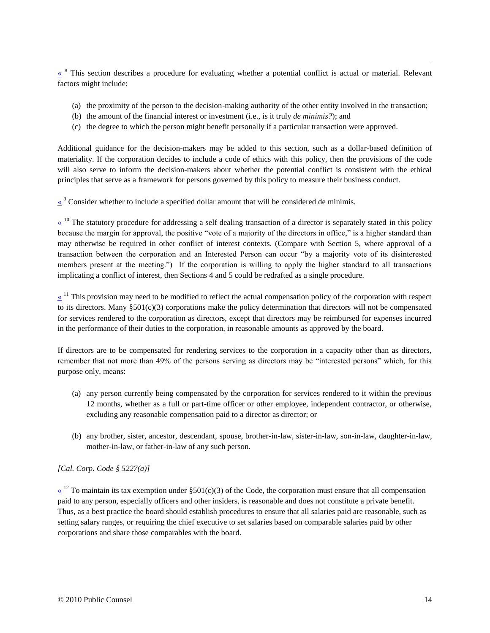<span id="page-14-0"></span><sup>8</sup> This section describes a procedure for evaluating whether a potential conflict is actual or material. Relevant factors might include:

- (a) the proximity of the person to the decision-making authority of the other entity involved in the transaction;
- (b) the amount of the financial interest or investment (i.e., is it truly *de minimis?*); and
- <span id="page-14-2"></span><span id="page-14-1"></span>(c) the degree to which the person might benefit personally if a particular transaction were approved.

Additional guidance for the decision-makers may be added to this section, such as a dollar-based definition of materiality. If the corporation decides to include a code of ethics with this policy, then the provisions of the code will also serve to inform the decision-makers about whether the potential conflict is consistent with the ethical principles that serve as a framework for persons governed by this policy to measure their business conduct.

 $\frac{8}{3}$  Consider whether to include a specified dollar amount that will be considered de minimis.

 $\frac{10}{10}$  The statutory procedure for addressing a self dealing transaction of a director is separately stated in this policy because the margin for approval, the positive "vote of a majority of the directors in office," is a higher standard than may otherwise be required in other conflict of interest contexts. (Compare with Section 5, where approval of a transaction between the corporation and an Interested Person can occur "by a majority vote of its disinterested members present at the meeting.") If the corporation is willing to apply the higher standard to all transactions implicating a conflict of interest, then Sections 4 and 5 could be redrafted as a single procedure.

<span id="page-14-3"></span> $\frac{1}{x}$ <sup>11</sup> This provision may need to be modified to reflect the actual compensation policy of the corporation with respect to its directors. Many  $\S501(c)(3)$  corporations make the policy determination that directors will not be compensated for services rendered to the corporation as directors, except that directors may be reimbursed for expenses incurred in the performance of their duties to the corporation, in reasonable amounts as approved by the board.

If directors are to be compensated for rendering services to the corporation in a capacity other than as directors, remember that not more than 49% of the persons serving as directors may be "interested persons" which, for this purpose only, means:

- (a) any person currently being compensated by the corporation for services rendered to it within the previous 12 months, whether as a full or part-time officer or other employee, independent contractor, or otherwise, excluding any reasonable compensation paid to a director as director; or
- <span id="page-14-4"></span>(b) any brother, sister, ancestor, descendant, spouse, brother-in-law, sister-in-law, son-in-law, daughter-in-law, mother-in-law, or father-in-law of any such person.

#### *[Cal. Corp. Code § 5227(a)]*

 $\overline{a}$ 

 $\frac{\alpha}{\alpha}$ <sup>12</sup> To maintain its tax exemption under §501(c)(3) of the Code, the corporation must ensure that all compensation paid to any person, especially officers and other insiders, is reasonable and does not constitute a private benefit. Thus, as a best practice the board should establish procedures to ensure that all salaries paid are reasonable, such as setting salary ranges, or requiring the chief executive to set salaries based on comparable salaries paid by other corporations and share those comparables with the board.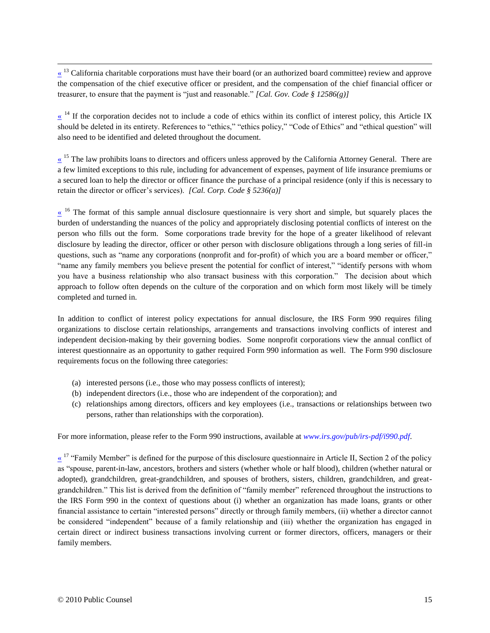<span id="page-15-0"></span> $\frac{\alpha}{\alpha}$ <sup>13</sup> California charitable corporations must have their board (or an authorized board committee) review and approve the compensation of the chief executive officer or president, and the compensation of the chief financial officer or treasurer, to ensure that the payment is "just and reasonable." *[Cal. Gov. Code § 12586(g)]*

<span id="page-15-2"></span> $\frac{1}{4}$  If the corporation decides not to include a code of ethics within its conflict of interest policy, this Article IX should be deleted in its entirety. References to "ethics," "ethics policy," "Code of Ethics" and "ethical question" will also need to be identified and deleted throughout the document.

 $\frac{15}{15}$  The law prohibits loans to directors and officers unless approved by the California Attorney General. There are a few limited exceptions to this rule, including for advancement of expenses, payment of life insurance premiums or a secured loan to help the director or officer finance the purchase of a principal residence (only if this is necessary to retain the director or officer's services). *[Cal. Corp. Code § 5236(a)]*

<span id="page-15-3"></span> $\frac{16}{16}$  The format of this sample annual disclosure questionnaire is very short and simple, but squarely places the burden of understanding the nuances of the policy and appropriately disclosing potential conflicts of interest on the person who fills out the form. Some corporations trade brevity for the hope of a greater likelihood of relevant disclosure by leading the director, officer or other person with disclosure obligations through a long series of fill-in questions, such as "name any corporations (nonprofit and for-profit) of which you are a board member or officer," "name any family members you believe present the potential for conflict of interest," "identify persons with whom you have a business relationship who also transact business with this corporation." The decision about which approach to follow often depends on the culture of the corporation and on which form most likely will be timely completed and turned in.

In addition to conflict of interest policy expectations for annual disclosure, the IRS Form 990 requires filing organizations to disclose certain relationships, arrangements and transactions involving conflicts of interest and independent decision-making by their governing bodies. Some nonprofit corporations view the annual conflict of interest questionnaire as an opportunity to gather required Form 990 information as well. The Form 990 disclosure requirements focus on the following three categories:

- (a) interested persons (i.e., those who may possess conflicts of interest);
- (b) independent directors (i.e., those who are independent of the corporation); and
- <span id="page-15-4"></span>(c) relationships among directors, officers and key employees (i.e., transactions or relationships between two persons, rather than relationships with the corporation).

For more information, please refer to the Form 990 instructions, available at *[www.irs.gov/pub/irs-pdf/i990.pdf](http://www.irs.gov/pub/irs-pdf/i990.pdf)*.

 $\frac{17}{17}$  "Family Member" is defined for the purpose of this disclosure questionnaire in Article II, Section 2 of the policy as "spouse, parent-in-law, ancestors, brothers and sisters (whether whole or half blood), children (whether natural or adopted), grandchildren, great-grandchildren, and spouses of brothers, sisters, children, grandchildren, and greatgrandchildren." This list is derived from the definition of "family member" referenced throughout the instructions to the IRS Form 990 in the context of questions about (i) whether an organization has made loans, grants or other financial assistance to certain "interested persons" directly or through family members, (ii) whether a director cannot be considered "independent" because of a family relationship and (iii) whether the organization has engaged in certain direct or indirect business transactions involving current or former directors, officers, managers or their family members.

<span id="page-15-1"></span> $\overline{a}$